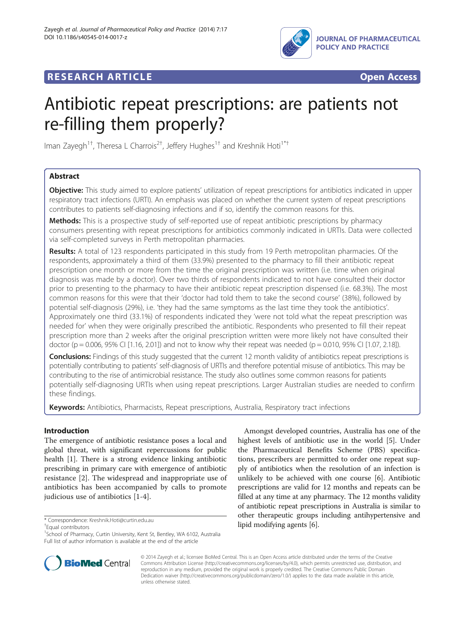

## **RESEARCH ARTICLE Example 2018 CONSIDERING CONSIDERING CONSIDERING CONSIDERING CONSIDERING CONSIDERING CONSIDERING CONSIDERING CONSIDERING CONSIDERING CONSIDERING CONSIDERING CONSIDERING CONSIDERING CONSIDERING CONSIDE**



# Antibiotic repeat prescriptions: are patients not re-filling them properly?

Iman Zayegh<sup>1†</sup>, Theresa L Charrois<sup>2†</sup>, Jeffery Hughes<sup>1†</sup> and Kreshnik Hoti<sup>1\*†</sup>

## Abstract

**Objective:** This study aimed to explore patients' utilization of repeat prescriptions for antibiotics indicated in upper respiratory tract infections (URTI). An emphasis was placed on whether the current system of repeat prescriptions contributes to patients self-diagnosing infections and if so, identify the common reasons for this.

**Methods:** This is a prospective study of self-reported use of repeat antibiotic prescriptions by pharmacy consumers presenting with repeat prescriptions for antibiotics commonly indicated in URTIs. Data were collected via self-completed surveys in Perth metropolitan pharmacies.

Results: A total of 123 respondents participated in this study from 19 Perth metropolitan pharmacies. Of the respondents, approximately a third of them (33.9%) presented to the pharmacy to fill their antibiotic repeat prescription one month or more from the time the original prescription was written (i.e. time when original diagnosis was made by a doctor). Over two thirds of respondents indicated to not have consulted their doctor prior to presenting to the pharmacy to have their antibiotic repeat prescription dispensed (i.e. 68.3%). The most common reasons for this were that their 'doctor had told them to take the second course' (38%), followed by potential self-diagnosis (29%), i.e. 'they had the same symptoms as the last time they took the antibiotics'. Approximately one third (33.1%) of respondents indicated they 'were not told what the repeat prescription was needed for' when they were originally prescribed the antibiotic. Respondents who presented to fill their repeat prescription more than 2 weeks after the original prescription written were more likely not have consulted their doctor (p = 0.006, 95% CI [1.16, 2.01]) and not to know why their repeat was needed (p = 0.010, 95% CI [1.07, 2.18]).

**Conclusions:** Findings of this study suggested that the current 12 month validity of antibiotics repeat prescriptions is potentially contributing to patients' self-diagnosis of URTIs and therefore potential misuse of antibiotics. This may be contributing to the rise of antimicrobial resistance. The study also outlines some common reasons for patients potentially self-diagnosing URTIs when using repeat prescriptions. Larger Australian studies are needed to confirm these findings.

Keywords: Antibiotics, Pharmacists, Repeat prescriptions, Australia, Respiratory tract infections

## Introduction

The emergence of antibiotic resistance poses a local and global threat, with significant repercussions for public health [\[1\]](#page-5-0). There is a strong evidence linking antibiotic prescribing in primary care with emergence of antibiotic resistance [\[2](#page-5-0)]. The widespread and inappropriate use of antibiotics has been accompanied by calls to promote judicious use of antibiotics [\[1](#page-5-0)-[4](#page-5-0)].

<sup>+</sup>Equal contributors

Amongst developed countries, Australia has one of the highest levels of antibiotic use in the world [\[5](#page-5-0)]. Under the Pharmaceutical Benefits Scheme (PBS) specifications, prescribers are permitted to order one repeat supply of antibiotics when the resolution of an infection is unlikely to be achieved with one course [\[6\]](#page-5-0). Antibiotic prescriptions are valid for 12 months and repeats can be filled at any time at any pharmacy. The 12 months validity of antibiotic repeat prescriptions in Australia is similar to other therapeutic groups including antihypertensive and lipid modifying agents [\[6\]](#page-5-0). \* Correspondence: [Kreshnik.Hoti@curtin.edu.au](mailto:Kreshnik.Hoti@curtin.edu.au) †



© 2014 Zayegh et al.; licensee BioMed Central. This is an Open Access article distributed under the terms of the Creative Commons Attribution License [\(http://creativecommons.org/licenses/by/4.0\)](http://creativecommons.org/licenses/by/4.0), which permits unrestricted use, distribution, and reproduction in any medium, provided the original work is properly credited. The Creative Commons Public Domain Dedication waiver [\(http://creativecommons.org/publicdomain/zero/1.0/](http://creativecommons.org/publicdomain/zero/1.0/)) applies to the data made available in this article, unless otherwise stated.

<sup>&</sup>lt;sup>1</sup>School of Pharmacy, Curtin University, Kent St, Bentley, WA 6102, Australia Full list of author information is available at the end of the article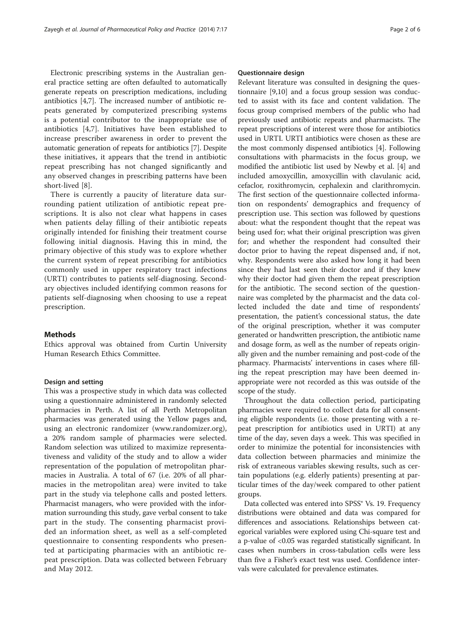Electronic prescribing systems in the Australian general practice setting are often defaulted to automatically generate repeats on prescription medications, including antibiotics [[4,7\]](#page-5-0). The increased number of antibiotic repeats generated by computerized prescribing systems is a potential contributor to the inappropriate use of antibiotics [\[4,7](#page-5-0)]. Initiatives have been established to increase prescriber awareness in order to prevent the automatic generation of repeats for antibiotics [[7](#page-5-0)]. Despite these initiatives, it appears that the trend in antibiotic repeat prescribing has not changed significantly and any observed changes in prescribing patterns have been short-lived [[8\]](#page-5-0).

There is currently a paucity of literature data surrounding patient utilization of antibiotic repeat prescriptions. It is also not clear what happens in cases when patients delay filling of their antibiotic repeats originally intended for finishing their treatment course following initial diagnosis. Having this in mind, the primary objective of this study was to explore whether the current system of repeat prescribing for antibiotics commonly used in upper respiratory tract infections (URTI) contributes to patients self-diagnosing. Secondary objectives included identifying common reasons for patients self-diagnosing when choosing to use a repeat prescription.

#### Methods

Ethics approval was obtained from Curtin University Human Research Ethics Committee.

#### Design and setting

This was a prospective study in which data was collected using a questionnaire administered in randomly selected pharmacies in Perth. A list of all Perth Metropolitan pharmacies was generated using the Yellow pages and, using an electronic randomizer [\(www.randomizer.org](http://www.randomizer.org)), a 20% random sample of pharmacies were selected. Random selection was utilized to maximize representativeness and validity of the study and to allow a wider representation of the population of metropolitan pharmacies in Australia. A total of 67 (i.e. 20% of all pharmacies in the metropolitan area) were invited to take part in the study via telephone calls and posted letters. Pharmacist managers, who were provided with the information surrounding this study, gave verbal consent to take part in the study. The consenting pharmacist provided an information sheet, as well as a self-completed questionnaire to consenting respondents who presented at participating pharmacies with an antibiotic repeat prescription. Data was collected between February and May 2012.

#### Questionnaire design

Relevant literature was consulted in designing the questionnaire [[9](#page-5-0),[10](#page-5-0)] and a focus group session was conducted to assist with its face and content validation. The focus group comprised members of the public who had previously used antibiotic repeats and pharmacists. The repeat prescriptions of interest were those for antibiotics used in URTI. URTI antibiotics were chosen as these are the most commonly dispensed antibiotics [[4\]](#page-5-0). Following consultations with pharmacists in the focus group, we modified the antibiotic list used by Newby et al. [[4\]](#page-5-0) and included amoxycillin, amoxycillin with clavulanic acid, cefaclor, roxithromycin, cephalexin and clarithromycin. The first section of the questionnaire collected information on respondents' demographics and frequency of prescription use. This section was followed by questions about: what the respondent thought that the repeat was being used for; what their original prescription was given for; and whether the respondent had consulted their doctor prior to having the repeat dispensed and, if not, why. Respondents were also asked how long it had been since they had last seen their doctor and if they knew why their doctor had given them the repeat prescription for the antibiotic. The second section of the questionnaire was completed by the pharmacist and the data collected included the date and time of respondents' presentation, the patient's concessional status, the date of the original prescription, whether it was computer generated or handwritten prescription, the antibiotic name and dosage form, as well as the number of repeats originally given and the number remaining and post-code of the pharmacy. Pharmacists' interventions in cases where filling the repeat prescription may have been deemed inappropriate were not recorded as this was outside of the scope of the study.

Throughout the data collection period, participating pharmacies were required to collect data for all consenting eligible respondents (i.e. those presenting with a repeat prescription for antibiotics used in URTI) at any time of the day, seven days a week. This was specified in order to minimize the potential for inconsistencies with data collection between pharmacies and minimize the risk of extraneous variables skewing results, such as certain populations (e.g. elderly patients) presenting at particular times of the day/week compared to other patient groups.

Data collected was entered into SPSS® Vs. 19. Frequency distributions were obtained and data was compared for differences and associations. Relationships between categorical variables were explored using Chi-square test and a p-value of <0.05 was regarded statistically significant. In cases when numbers in cross-tabulation cells were less than five a Fisher's exact test was used. Confidence intervals were calculated for prevalence estimates.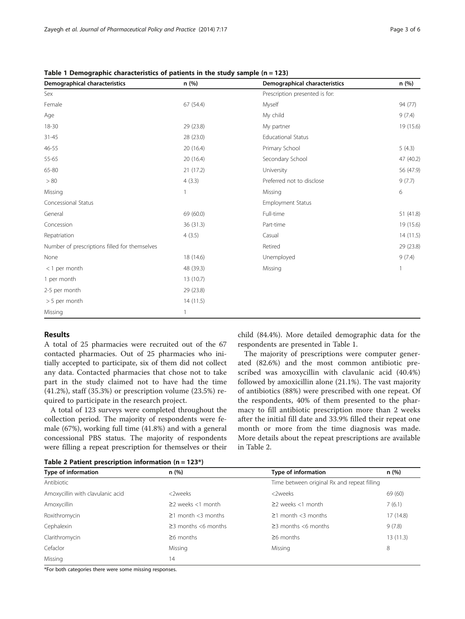| Demographical characteristics                 | n (%)     | Demographical characteristics  | n (%)          |
|-----------------------------------------------|-----------|--------------------------------|----------------|
| Sex                                           |           | Prescription presented is for: |                |
| Female                                        | 67 (54.4) | Myself                         | 94 (77)        |
| Age                                           |           | My child                       | 9(7.4)         |
| 18-30                                         | 29 (23.8) | My partner                     | 19 (15.6)      |
| $31 - 45$                                     | 28 (23.0) | <b>Educational Status</b>      |                |
| 46-55                                         | 20 (16.4) | Primary School                 | 5(4.3)         |
| 55-65                                         | 20 (16.4) | Secondary School               | 47 (40.2)      |
| 65-80                                         | 21(17.2)  | University                     | 56 (47.9)      |
| > 80                                          | 4(3.3)    | Preferred not to disclose      | 9(7.7)         |
| Missing                                       |           | Missing                        | 6              |
| Concessional Status                           |           | <b>Employment Status</b>       |                |
| General                                       | 69 (60.0) | Full-time                      | 51 (41.8)      |
| Concession                                    | 36 (31.3) | Part-time                      | 19 (15.6)      |
| Repatriation                                  | 4(3.5)    | Casual                         | 14(11.5)       |
| Number of prescriptions filled for themselves |           | Retired                        | 29 (23.8)      |
| None                                          | 18 (14.6) | Unemployed                     | 9(7.4)         |
| $<$ 1 per month                               | 48 (39.3) | Missing                        | $\overline{1}$ |
| 1 per month                                   | 13(10.7)  |                                |                |
| 2-5 per month                                 | 29 (23.8) |                                |                |
| > 5 per month                                 | 14(11.5)  |                                |                |
| Missing                                       |           |                                |                |

Table 1 Demographic characteristics of patients in the study sample ( $n = 123$ )

### Results

A total of 25 pharmacies were recruited out of the 67 contacted pharmacies. Out of 25 pharmacies who initially accepted to participate, six of them did not collect any data. Contacted pharmacies that chose not to take part in the study claimed not to have had the time (41.2%), staff (35.3%) or prescription volume (23.5%) required to participate in the research project.

A total of 123 surveys were completed throughout the collection period. The majority of respondents were female (67%), working full time (41.8%) and with a general concessional PBS status. The majority of respondents were filling a repeat prescription for themselves or their child (84.4%). More detailed demographic data for the respondents are presented in Table 1.

The majority of prescriptions were computer generated (82.6%) and the most common antibiotic prescribed was amoxycillin with clavulanic acid (40.4%) followed by amoxicillin alone (21.1%). The vast majority of antibiotics (88%) were prescribed with one repeat. Of the respondents, 40% of them presented to the pharmacy to fill antibiotic prescription more than 2 weeks after the initial fill date and 33.9% filled their repeat one month or more from the time diagnosis was made. More details about the repeat prescriptions are available in Table 2.

Table 2 Patient prescription information ( $n = 123$ \*)

| Type of information              | n(%)                      | <b>Type of information</b>                  | n(%)     |  |
|----------------------------------|---------------------------|---------------------------------------------|----------|--|
| Antibiotic                       |                           | Time between original Rx and repeat filling |          |  |
| Amoxycillin with clavulanic acid | <2weeks                   | <2weeks                                     | 69 (60)  |  |
| Amoxycillin                      | $\geq$ weeks <1 month     | $\geq$ weeks <1 month                       | 7(6.1)   |  |
| Roxithromycin                    | $\geq$ 1 month <3 months  | $\geq$ 1 month <3 months                    | 17(14.8) |  |
| Cephalexin                       | $\geq$ 3 months <6 months | $\geq$ 3 months <6 months                   | 9(7.8)   |  |
| Clarithromycin                   | $\geq$ 6 months           | $\geq$ 6 months                             | 13(11.3) |  |
| Cefaclor                         | Missing                   | Missing                                     | 8        |  |
| Missing                          | 14                        |                                             |          |  |

\*For both categories there were some missing responses.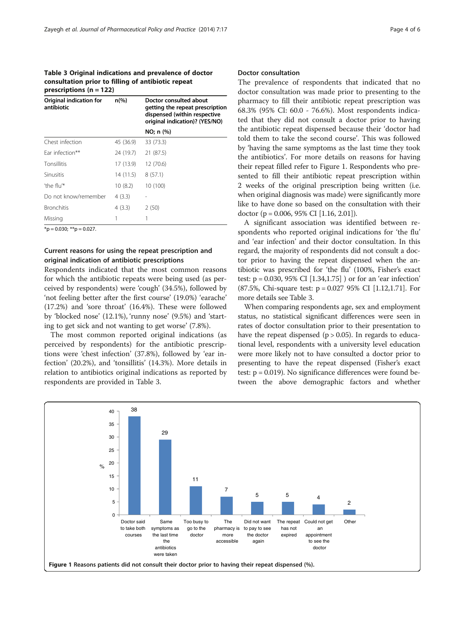Table 3 Original indications and prevalence of doctor consultation prior to filling of antibiotic repeat prescriptions  $(n = 122)$ 

| Original indication for<br>antibiotic | $n\frac{9}{6}$ | Doctor consulted about<br>getting the repeat prescription<br>dispensed (within respective<br>original indication)? (YES/NO) |  |
|---------------------------------------|----------------|-----------------------------------------------------------------------------------------------------------------------------|--|
|                                       |                | NO; n (%)                                                                                                                   |  |
| Chest infection                       | 45 (36.9)      | 33 (73.3)                                                                                                                   |  |
| Ear infection**                       | 24 (19.7)      | 21 (87.5)                                                                                                                   |  |
| Tonsillitis                           | 17 (13.9)      | 12 (70.6)                                                                                                                   |  |
| <b>Sinusitis</b>                      | 14(11.5)       | 8(57.1)                                                                                                                     |  |
| 'the flu'*                            | 10(8.2)        | 10 (100)                                                                                                                    |  |
| Do not know/remember                  | 4 (3.3)        |                                                                                                                             |  |
| <b>Bronchitis</b>                     | 4(3.3)         | 2(50)                                                                                                                       |  |
| Missing                               |                |                                                                                                                             |  |

 $*$ p = 0.030; \*\*p = 0.027.

## Current reasons for using the repeat prescription and original indication of antibiotic prescriptions

Respondents indicated that the most common reasons for which the antibiotic repeats were being used (as perceived by respondents) were 'cough' (34.5%), followed by 'not feeling better after the first course' (19.0%) 'earache' (17.2%) and 'sore throat' (16.4%). These were followed by 'blocked nose' (12.1%), 'runny nose' (9.5%) and 'starting to get sick and not wanting to get worse' (7.8%).

The most common reported original indications (as perceived by respondents) for the antibiotic prescriptions were 'chest infection' (37.8%), followed by 'ear infection' (20.2%), and 'tonsillitis' (14.3%). More details in relation to antibiotics original indications as reported by respondents are provided in Table 3.

#### Doctor consultation

The prevalence of respondents that indicated that no doctor consultation was made prior to presenting to the pharmacy to fill their antibiotic repeat prescription was 68.3% (95% CI: 60.0 - 76.6%). Most respondents indicated that they did not consult a doctor prior to having the antibiotic repeat dispensed because their 'doctor had told them to take the second course'. This was followed by 'having the same symptoms as the last time they took the antibiotics'. For more details on reasons for having their repeat filled refer to Figure 1. Respondents who presented to fill their antibiotic repeat prescription within 2 weeks of the original prescription being written (i.e. when original diagnosis was made) were significantly more like to have done so based on the consultation with their doctor (p = 0.006, 95% CI [1.16, 2.01]).

A significant association was identified between respondents who reported original indications for 'the flu' and 'ear infection' and their doctor consultation. In this regard, the majority of respondents did not consult a doctor prior to having the repeat dispensed when the antibiotic was prescribed for 'the flu' (100%, Fisher's exact test: p = 0.030, 95% CI [1.34,1.75] ) or for an 'ear infection' (87.5%, Chi-square test: p = 0.027 95% CI [1.12,1.71]. For more details see Table 3.

When comparing respondents age, sex and employment status, no statistical significant differences were seen in rates of doctor consultation prior to their presentation to have the repeat dispensed ( $p > 0.05$ ). In regards to educational level, respondents with a university level education were more likely not to have consulted a doctor prior to presenting to have the repeat dispensed (Fisher's exact test: p = 0.019). No significance differences were found between the above demographic factors and whether

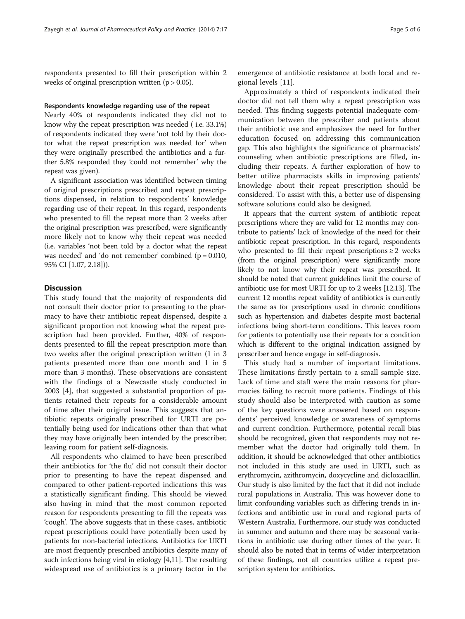respondents presented to fill their prescription within 2 weeks of original prescription written  $(p > 0.05)$ .

#### Respondents knowledge regarding use of the repeat

Nearly 40% of respondents indicated they did not to know why the repeat prescription was needed ( i.e. 33.1%) of respondents indicated they were 'not told by their doctor what the repeat prescription was needed for' when they were originally prescribed the antibiotics and a further 5.8% responded they 'could not remember' why the repeat was given).

A significant association was identified between timing of original prescriptions prescribed and repeat prescriptions dispensed, in relation to respondents' knowledge regarding use of their repeat. In this regard, respondents who presented to fill the repeat more than 2 weeks after the original prescription was prescribed, were significantly more likely not to know why their repeat was needed (i.e. variables 'not been told by a doctor what the repeat was needed' and 'do not remember' combined ( $p = 0.010$ , 95% CI [1.07, 2.18])).

#### **Discussion**

This study found that the majority of respondents did not consult their doctor prior to presenting to the pharmacy to have their antibiotic repeat dispensed, despite a significant proportion not knowing what the repeat prescription had been provided. Further, 40% of respondents presented to fill the repeat prescription more than two weeks after the original prescription written (1 in 3 patients presented more than one month and 1 in 5 more than 3 months). These observations are consistent with the findings of a Newcastle study conducted in 2003 [\[4](#page-5-0)], that suggested a substantial proportion of patients retained their repeats for a considerable amount of time after their original issue. This suggests that antibiotic repeats originally prescribed for URTI are potentially being used for indications other than that what they may have originally been intended by the prescriber, leaving room for patient self-diagnosis.

All respondents who claimed to have been prescribed their antibiotics for 'the flu' did not consult their doctor prior to presenting to have the repeat dispensed and compared to other patient-reported indications this was a statistically significant finding. This should be viewed also having in mind that the most common reported reason for respondents presenting to fill the repeats was 'cough'. The above suggests that in these cases, antibiotic repeat prescriptions could have potentially been used by patients for non-bacterial infections. Antibiotics for URTI are most frequently prescribed antibiotics despite many of such infections being viral in etiology [\[4,11\]](#page-5-0). The resulting widespread use of antibiotics is a primary factor in the

emergence of antibiotic resistance at both local and regional levels [[11](#page-5-0)].

Approximately a third of respondents indicated their doctor did not tell them why a repeat prescription was needed. This finding suggests potential inadequate communication between the prescriber and patients about their antibiotic use and emphasizes the need for further education focused on addressing this communication gap. This also highlights the significance of pharmacists' counseling when antibiotic prescriptions are filled, including their repeats. A further exploration of how to better utilize pharmacists skills in improving patients' knowledge about their repeat prescription should be considered. To assist with this, a better use of dispensing software solutions could also be designed.

It appears that the current system of antibiotic repeat prescriptions where they are valid for 12 months may contribute to patients' lack of knowledge of the need for their antibiotic repeat prescription. In this regard, respondents who presented to fill their repeat prescriptions  $\geq 2$  weeks (from the original prescription) were significantly more likely to not know why their repeat was prescribed. It should be noted that current guidelines limit the course of antibiotic use for most URTI for up to 2 weeks [\[12,13](#page-5-0)]. The current 12 months repeat validity of antibiotics is currently the same as for prescriptions used in chronic conditions such as hypertension and diabetes despite most bacterial infections being short-term conditions. This leaves room for patients to potentially use their repeats for a condition which is different to the original indication assigned by prescriber and hence engage in self-diagnosis.

This study had a number of important limitations. These limitations firstly pertain to a small sample size. Lack of time and staff were the main reasons for pharmacies failing to recruit more patients. Findings of this study should also be interpreted with caution as some of the key questions were answered based on respondents' perceived knowledge or awareness of symptoms and current condition. Furthermore, potential recall bias should be recognized, given that respondents may not remember what the doctor had originally told them. In addition, it should be acknowledged that other antibiotics not included in this study are used in URTI, such as erythromycin, azithromycin, doxycycline and dicloxacillin. Our study is also limited by the fact that it did not include rural populations in Australia. This was however done to limit confounding variables such as differing trends in infections and antibiotic use in rural and regional parts of Western Australia. Furthermore, our study was conducted in summer and autumn and there may be seasonal variations in antibiotic use during other times of the year. It should also be noted that in terms of wider interpretation of these findings, not all countries utilize a repeat prescription system for antibiotics.